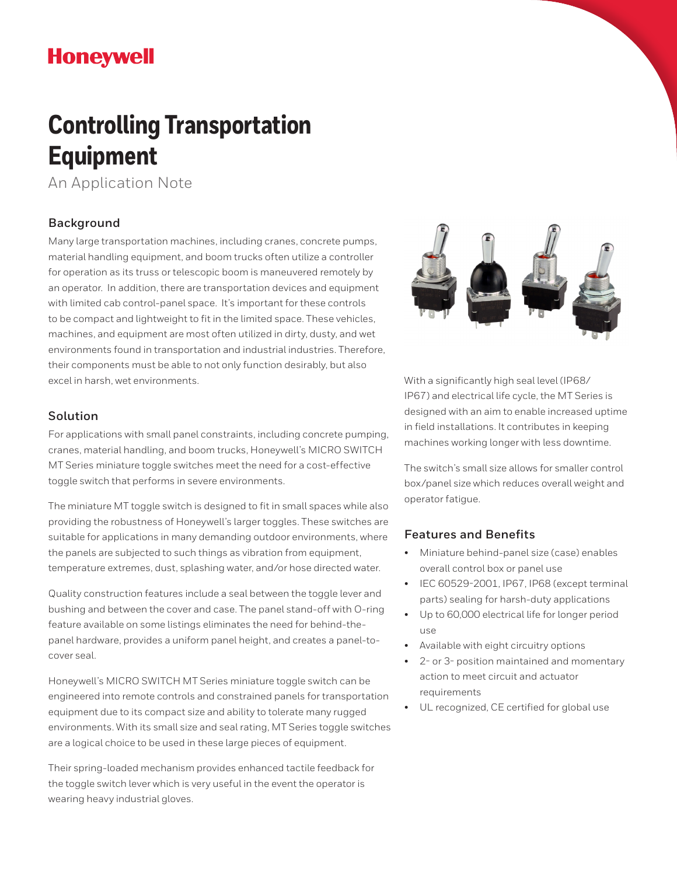# **Honeywell**

# **Controlling Transportation Equipment**

An Application Note

## **Background**

Many large transportation machines, including cranes, concrete pumps, material handling equipment, and boom trucks often utilize a controller for operation as its truss or telescopic boom is maneuvered remotely by an operator. In addition, there are transportation devices and equipment with limited cab control-panel space. It's important for these controls to be compact and lightweight to fit in the limited space. These vehicles, machines, and equipment are most often utilized in dirty, dusty, and wet environments found in transportation and industrial industries. Therefore, their components must be able to not only function desirably, but also excel in harsh, wet environments.

#### **Solution**

For applications with small panel constraints, including concrete pumping, cranes, material handling, and boom trucks, Honeywell's MICRO SWITCH MT Series miniature toggle switches meet the need for a cost-effective toggle switch that performs in severe environments.

The miniature MT toggle switch is designed to fit in small spaces while also providing the robustness of Honeywell's larger toggles. These switches are suitable for applications in many demanding outdoor environments, where the panels are subjected to such things as vibration from equipment, temperature extremes, dust, splashing water, and/or hose directed water.

Quality construction features include a seal between the toggle lever and bushing and between the cover and case. The panel stand-off with O-ring feature available on some listings eliminates the need for behind-thepanel hardware, provides a uniform panel height, and creates a panel-tocover seal.

Honeywell's MICRO SWITCH MT Series miniature toggle switch can be engineered into remote controls and constrained panels for transportation equipment due to its compact size and ability to tolerate many rugged environments. With its small size and seal rating, MT Series toggle switches are a logical choice to be used in these large pieces of equipment.

Their spring-loaded mechanism provides enhanced tactile feedback for the toggle switch lever which is very useful in the event the operator is wearing heavy industrial gloves.



With a significantly high seal level (IP68/ IP67) and electrical life cycle, the MT Series is designed with an aim to enable increased uptime in field installations. It contributes in keeping machines working longer with less downtime.

The switch's small size allows for smaller control box/panel size which reduces overall weight and operator fatigue.

### **Features and Benefits**

- Miniature behind-panel size (case) enables overall control box or panel use
- IEC 60529-2001, IP67, IP68 (except terminal parts) sealing for harsh-duty applications
- Up to 60,000 electrical life for longer period use
- Available with eight circuitry options
- 2- or 3- position maintained and momentary action to meet circuit and actuator requirements
- UL recognized, CE certified for global use